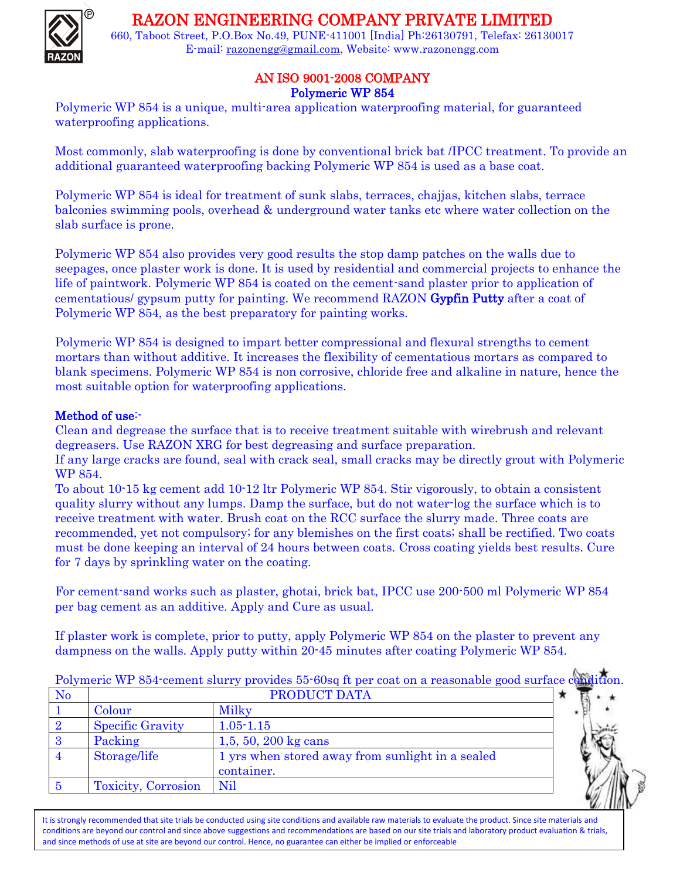## RAZON ENGINEERING COMPANY PRIVATE LIMITED



660, Taboot Street, P.O.Box No.49, PUNE-411001 [India] Ph:26130791, Telefax: 26130017 E-mail: [razonengg@gmail.com,](mailto:razonengg@gmail.com) Website: www.razonengg.com

## AN ISO 9001-2008 COMPANY Polymeric WP 854

Polymeric WP 854 is a unique, multi-area application waterproofing material, for guaranteed waterproofing applications.

Most commonly, slab waterproofing is done by conventional brick bat /IPCC treatment. To provide an additional guaranteed waterproofing backing Polymeric WP 854 is used as a base coat.

Polymeric WP 854 is ideal for treatment of sunk slabs, terraces, chajjas, kitchen slabs, terrace balconies swimming pools, overhead & underground water tanks etc where water collection on the slab surface is prone.

Polymeric WP 854 also provides very good results the stop damp patches on the walls due to seepages, once plaster work is done. It is used by residential and commercial projects to enhance the life of paintwork. Polymeric WP 854 is coated on the cement-sand plaster prior to application of cementatious/ gypsum putty for painting. We recommend RAZON Gypfin Putty after a coat of Polymeric WP 854, as the best preparatory for painting works.

Polymeric WP 854 is designed to impart better compressional and flexural strengths to cement mortars than without additive. It increases the flexibility of cementatious mortars as compared to blank specimens. Polymeric WP 854 is non corrosive, chloride free and alkaline in nature, hence the most suitable option for waterproofing applications.

## Method of use:-

Clean and degrease the surface that is to receive treatment suitable with wirebrush and relevant degreasers. Use RAZON XRG for best degreasing and surface preparation.

If any large cracks are found, seal with crack seal, small cracks may be directly grout with Polymeric WP 854.

To about 10-15 kg cement add 10-12 ltr Polymeric WP 854. Stir vigorously, to obtain a consistent quality slurry without any lumps. Damp the surface, but do not water-log the surface which is to receive treatment with water. Brush coat on the RCC surface the slurry made. Three coats are recommended, yet not compulsory; for any blemishes on the first coats; shall be rectified. Two coats must be done keeping an interval of 24 hours between coats. Cross coating yields best results. Cure for 7 days by sprinkling water on the coating.

For cement-sand works such as plaster, ghotai, brick bat, IPCC use 200-500 ml Polymeric WP 854 per bag cement as an additive. Apply and Cure as usual.

If plaster work is complete, prior to putty, apply Polymeric WP 854 on the plaster to prevent any dampness on the walls. Apply putty within 20-45 minutes after coating Polymeric WP 854.

| N <sub>o</sub> | <b>PRODUCT DATA</b>     |                                                  |  |
|----------------|-------------------------|--------------------------------------------------|--|
|                | Colour                  | Milky                                            |  |
|                | <b>Specific Gravity</b> | $1.05 - 1.15$                                    |  |
|                | Packing                 | 1,5, 50, 200 kg cans                             |  |
|                | Storage/life            | 1 yrs when stored away from sunlight in a sealed |  |
|                |                         | container.                                       |  |
|                | Toxicity, Corrosion     | Nil                                              |  |

Polymeric WP 854-cement slurry provides 55-60sq ft per coat on a reasonable good surface condition

It is strongly recommended that site trials be conducted using site conditions and available raw materials to evaluate the product. Since site materials and conditions are beyond our control and since above suggestions and recommendations are based on our site trials and laboratory product evaluation & trials, and since methods of use at site are beyond our control. Hence, no guarantee can either be implied or enforceable